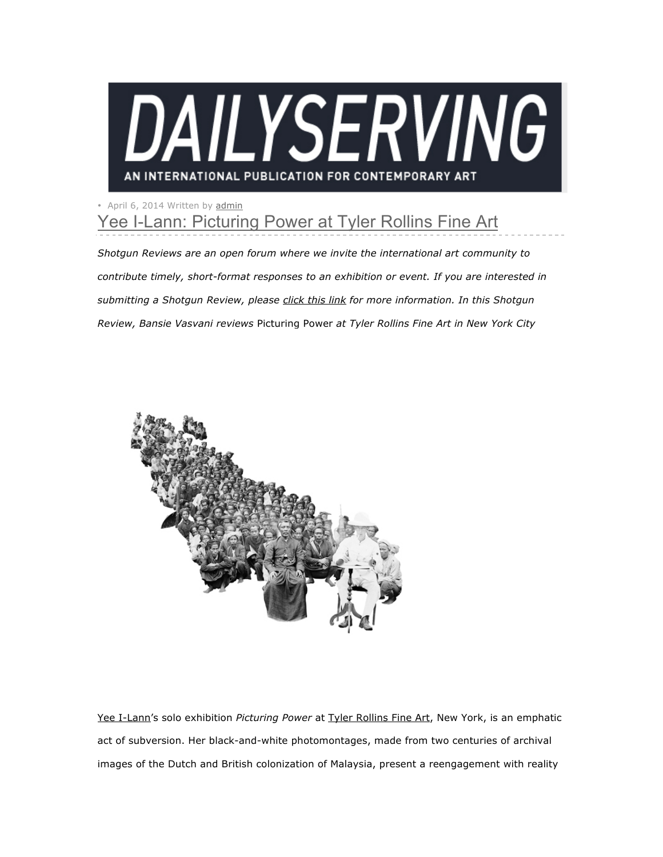

## • April 6, 2014 Written by admin Yee I-Lann: Picturing Power at Tyler Rollins Fine Art

*Shotgun Reviews are an open forum where we invite the international art community to contribute timely, short-format responses to an exhibition or event. If you are interested in submitting a Shotgun Review, please click this link for more information. In this Shotgun Review, Bansie Vasvani reviews* Picturing Power *at Tyler Rollins Fine Art in New York City*



Yee I-Lann's solo exhibition *Picturing Power* at Tyler Rollins Fine Art, New York, is an emphatic act of subversion. Her black-and-white photomontages, made from two centuries of archival images of the Dutch and British colonization of Malaysia, present a reengagement with reality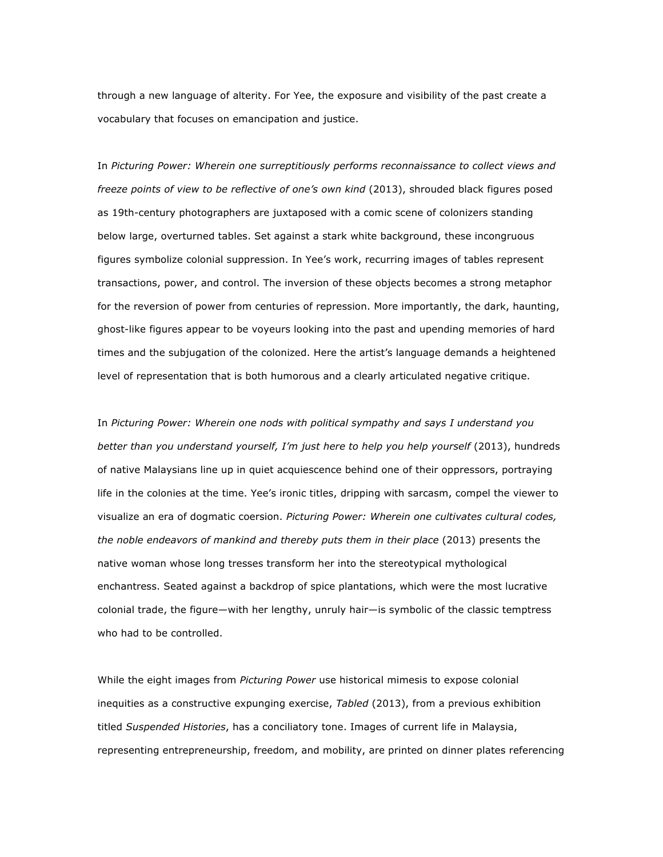through a new language of alterity. For Yee, the exposure and visibility of the past create a vocabulary that focuses on emancipation and justice.

In *Picturing Power: Wherein one surreptitiously performs reconnaissance to collect views and freeze points of view to be reflective of one's own kind* (2013), shrouded black figures posed as 19th-century photographers are juxtaposed with a comic scene of colonizers standing below large, overturned tables. Set against a stark white background, these incongruous figures symbolize colonial suppression. In Yee's work, recurring images of tables represent transactions, power, and control. The inversion of these objects becomes a strong metaphor for the reversion of power from centuries of repression. More importantly, the dark, haunting, ghost-like figures appear to be voyeurs looking into the past and upending memories of hard times and the subjugation of the colonized. Here the artist's language demands a heightened level of representation that is both humorous and a clearly articulated negative critique.

In *Picturing Power: Wherein one nods with political sympathy and says I understand you better than you understand yourself, I'm just here to help you help yourself* (2013), hundreds of native Malaysians line up in quiet acquiescence behind one of their oppressors, portraying life in the colonies at the time. Yee's ironic titles, dripping with sarcasm, compel the viewer to visualize an era of dogmatic coersion. *Picturing Power: Wherein one cultivates cultural codes, the noble endeavors of mankind and thereby puts them in their place* (2013) presents the native woman whose long tresses transform her into the stereotypical mythological enchantress. Seated against a backdrop of spice plantations, which were the most lucrative colonial trade, the figure—with her lengthy, unruly hair—is symbolic of the classic temptress who had to be controlled.

While the eight images from *Picturing Power* use historical mimesis to expose colonial inequities as a constructive expunging exercise, *Tabled* (2013), from a previous exhibition titled *Suspended Histories*, has a conciliatory tone. Images of current life in Malaysia, representing entrepreneurship, freedom, and mobility, are printed on dinner plates referencing